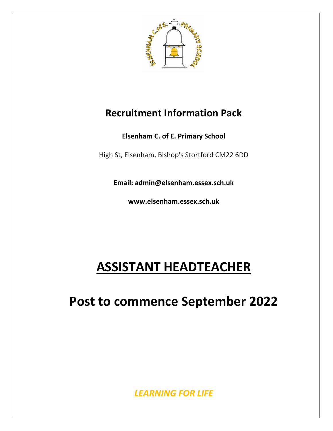

# **Recruitment Information Pack**

**Elsenham C. of E. Primary School**

High St, Elsenham, Bishop's Stortford CM22 6DD

**Email: admin@elsenham.essex.sch.uk**

**www.elsenham.essex.sch.uk**

# **ASSISTANT HEADTEACHER**

**Post to commence September 2022**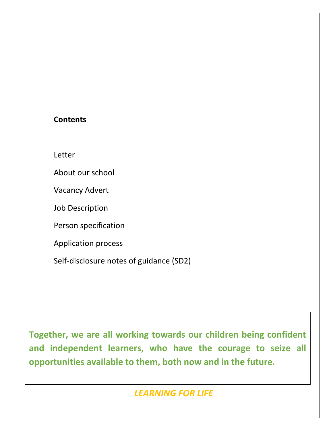### **Contents**

Letter

About our school

Vacancy Advert

Job Description

Person specification

Application process

Self-disclosure notes of guidance (SD2)

**Together, we are all working towards our children being confident and independent learners, who have the courage to seize all opportunities available to them, both now and in the future.**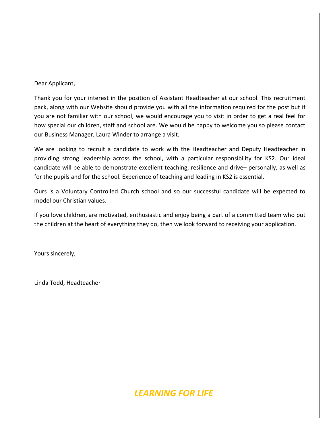#### Dear Applicant,

Thank you for your interest in the position of Assistant Headteacher at our school. This recruitment pack, along with our Website should provide you with all the information required for the post but if you are not familiar with our school, we would encourage you to visit in order to get a real feel for how special our children, staff and school are. We would be happy to welcome you so please contact our Business Manager, Laura Winder to arrange a visit.

We are looking to recruit a candidate to work with the Headteacher and Deputy Headteacher in providing strong leadership across the school, with a particular responsibility for KS2. Our ideal candidate will be able to demonstrate excellent teaching, resilience and drive– personally, as well as for the pupils and for the school. Experience of teaching and leading in KS2 is essential.

Ours is a Voluntary Controlled Church school and so our successful candidate will be expected to model our Christian values.

If you love children, are motivated, enthusiastic and enjoy being a part of a committed team who put the children at the heart of everything they do, then we look forward to receiving your application.

Yours sincerely,

Linda Todd, Headteacher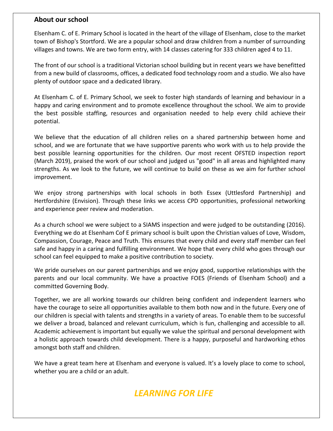#### **About our school**

Elsenham C. of E. Primary School is located in the heart of the village of Elsenham, close to the market town of Bishop's Stortford. We are a popular school and draw children from a number of surrounding villages and towns. We are two form entry, with 14 classes catering for 333 children aged 4 to 11.

The front of our school is a traditional Victorian school building but in recent years we have benefitted from a new build of classrooms, offices, a dedicated food technology room and a studio. We also have plenty of outdoor space and a dedicated library.

At Elsenham C. of E. Primary School, we seek to foster high standards of learning and behaviour in a happy and caring environment and to promote excellence throughout the school. We aim to provide the best possible staffing, resources and organisation needed to help every child achieve their potential.

We believe that the education of all children relies on a shared partnership between home and school, and we are fortunate that we have supportive parents who work with us to help provide the best possible learning opportunities for the children. Our most recent OFSTED inspection report (March 2019), praised the work of our school and judged us "good" in all areas and highlighted many strengths. As we look to the future, we will continue to build on these as we aim for further school improvement.

We enjoy strong partnerships with local schools in both Essex (Uttlesford Partnership) and Hertfordshire (Envision). Through these links we access CPD opportunities, professional networking and experience peer review and moderation.

As a church school we were subject to a SIAMS inspection and were judged to be outstanding (2016). Everything we do at Elsenham Cof E primary school is built upon the Christian values of Love, Wisdom, Compassion, Courage, Peace and Truth. This ensures that every child and every staff member can feel safe and happy in a caring and fulfilling environment. We hope that every child who goes through our school can feel equipped to make a positive contribution to society.

We pride ourselves on our parent partnerships and we enjoy good, supportive relationships with the parents and our local community. We have a proactive FOES (Friends of Elsenham School) and a committed Governing Body.

Together, we are all working towards our children being confident and independent learners who have the courage to seize all opportunities available to them both now and in the future. Every one of our children is special with talents and strengths in a variety of areas. To enable them to be successful we deliver a broad, balanced and relevant curriculum, which is fun, challenging and accessible to all. Academic achievement is important but equally we value the spiritual and personal development with a holistic approach towards child development. There is a happy, purposeful and hardworking ethos amongst both staff and children.

We have a great team here at Elsenham and everyone is valued. It's a lovely place to come to school, whether you are a child or an adult.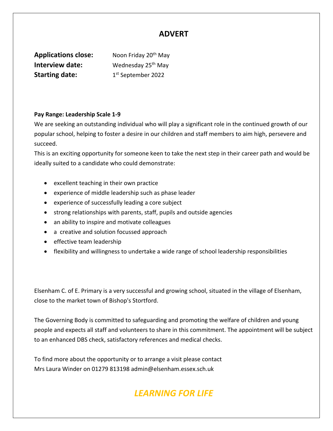### **ADVERT**

**Applications close:** Noon Friday 20<sup>th</sup> May **Interview date:** Wednesday 25<sup>th</sup> May **Starting date:** 1

1st September 2022

#### **Pay Range: Leadership Scale 1-9**

We are seeking an outstanding individual who will play a significant role in the continued growth of our popular school, helping to foster a desire in our children and staff members to aim high, persevere and succeed.

This is an exciting opportunity for someone keen to take the next step in their career path and would be ideally suited to a candidate who could demonstrate:

- excellent teaching in their own practice
- experience of middle leadership such as phase leader
- experience of successfully leading a core subject
- strong relationships with parents, staff, pupils and outside agencies
- an ability to inspire and motivate colleagues
- a creative and solution focussed approach
- effective team leadership
- flexibility and willingness to undertake a wide range of school leadership responsibilities

Elsenham C. of E. Primary is a very successful and growing school, situated in the village of Elsenham, close to the market town of Bishop's Stortford.

The Governing Body is committed to safeguarding and promoting the welfare of children and young people and expects all staff and volunteers to share in this commitment. The appointment will be subject to an enhanced DBS check, satisfactory references and medical checks.

To find more about the opportunity or to arrange a visit please contact Mrs Laura Winder on 01279 813198 admin@elsenham.essex.sch.uk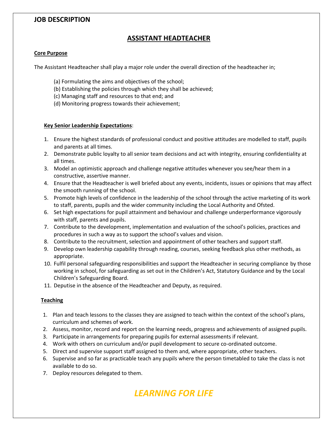#### **JOB DESCRIPTION**

#### **ASSISTANT HEADTEACHER**

#### **Core Purpose**

The Assistant Headteacher shall play a major role under the overall direction of the headteacher in;

- (a) Formulating the aims and objectives of the school;
- (b) Establishing the policies through which they shall be achieved;
- (c) Managing staff and resources to that end; and
- (d) Monitoring progress towards their achievement;

#### **Key Senior Leadership Expectations**:

- 1. Ensure the highest standards of professional conduct and positive attitudes are modelled to staff, pupils and parents at all times.
- 2. Demonstrate public loyalty to all senior team decisions and act with integrity, ensuring confidentiality at all times.
- 3. Model an optimistic approach and challenge negative attitudes whenever you see/hear them in a constructive, assertive manner.
- 4. Ensure that the Headteacher is well briefed about any events, incidents, issues or opinions that may affect the smooth running of the school.
- 5. Promote high levels of confidence in the leadership of the school through the active marketing of its work to staff, parents, pupils and the wider community including the Local Authority and Ofsted.
- 6. Set high expectations for pupil attainment and behaviour and challenge underperformance vigorously with staff, parents and pupils.
- 7. Contribute to the development, implementation and evaluation of the school's policies, practices and procedures in such a way as to support the school's values and vision.
- 8. Contribute to the recruitment, selection and appointment of other teachers and support staff.
- 9. Develop own leadership capability through reading, courses, seeking feedback plus other methods, as appropriate.
- 10. Fulfil personal safeguarding responsibilities and support the Headteacher in securing compliance by those working in school, for safeguarding as set out in the Children's Act, Statutory Guidance and by the Local Children's Safeguarding Board.
- 11. Deputise in the absence of the Headteacher and Deputy, as required.

#### **Teaching**

- 1. Plan and teach lessons to the classes they are assigned to teach within the context of the school's plans, curriculum and schemes of work.
- 2. Assess, monitor, record and report on the learning needs, progress and achievements of assigned pupils.
- 3. Participate in arrangements for preparing pupils for external assessments if relevant.
- 4. Work with others on curriculum and/or pupil development to secure co-ordinated outcome.
- 5. Direct and supervise support staff assigned to them and, where appropriate, other teachers.
- 6. Supervise and so far as practicable teach any pupils where the person timetabled to take the class is not available to do so.
- 7. Deploy resources delegated to them.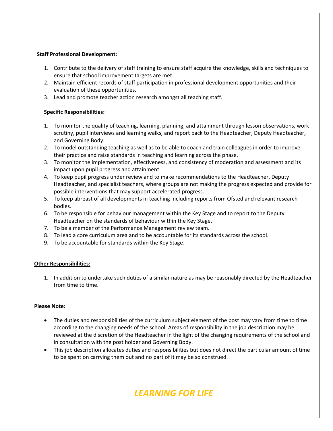#### **Staff Professional Development:**

- 1. Contribute to the delivery of staff training to ensure staff acquire the knowledge, skills and techniques to ensure that school improvement targets are met.
- 2. Maintain efficient records of staff participation in professional development opportunities and their evaluation of these opportunities.
- 3. Lead and promote teacher action research amongst all teaching staff.

#### **Specific Responsibilities:**

- 1. To monitor the quality of teaching, learning, planning, and attainment through lesson observations, work scrutiny, pupil interviews and learning walks, and report back to the Headteacher, Deputy Headteacher, and Governing Body.
- 2. To model outstanding teaching as well as to be able to coach and train colleagues in order to improve their practice and raise standards in teaching and learning across the phase.
- 3. To monitor the implementation, effectiveness, and consistency of moderation and assessment and its impact upon pupil progress and attainment.
- 4. To keep pupil progress under review and to make recommendations to the Headteacher, Deputy Headteacher, and specialist teachers, where groups are not making the progress expected and provide for possible interventions that may support accelerated progress.
- 5. To keep abreast of all developments in teaching including reports from Ofsted and relevant research bodies.
- 6. To be responsible for behaviour management within the Key Stage and to report to the Deputy Headteacher on the standards of behaviour within the Key Stage.
- 7. To be a member of the Performance Management review team.
- 8. To lead a core curriculum area and to be accountable for its standards across the school.
- 9. To be accountable for standards within the Key Stage.

#### **Other Responsibilities:**

1. In addition to undertake such duties of a similar nature as may be reasonably directed by the Headteacher from time to time.

#### **Please Note:**

- The duties and responsibilities of the curriculum subject element of the post may vary from time to time according to the changing needs of the school. Areas of responsibility in the job description may be reviewed at the discretion of the Headteacher in the light of the changing requirements of the school and in consultation with the post holder and Governing Body.
- This job description allocates duties and responsibilities but does not direct the particular amount of time to be spent on carrying them out and no part of it may be so construed.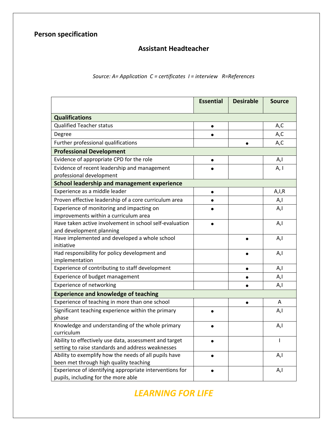### **Assistant Headteacher**

#### *Source: A= Application C = certificates I = interview R=References*

|                                                         | <b>Essential</b> | <b>Desirable</b> | <b>Source</b> |  |  |
|---------------------------------------------------------|------------------|------------------|---------------|--|--|
| <b>Qualifications</b>                                   |                  |                  |               |  |  |
| <b>Qualified Teacher status</b>                         | $\bullet$        |                  | A,C           |  |  |
| Degree                                                  |                  |                  | A,C           |  |  |
| Further professional qualifications                     |                  |                  | A, C          |  |  |
| <b>Professional Development</b>                         |                  |                  |               |  |  |
| Evidence of appropriate CPD for the role                | $\bullet$        |                  | A,I           |  |  |
| Evidence of recent leadership and management            |                  |                  | A, I          |  |  |
| professional development                                |                  |                  |               |  |  |
| <b>School leadership and management experience</b>      |                  |                  |               |  |  |
| Experience as a middle leader                           | $\bullet$        |                  | A, I, R       |  |  |
| Proven effective leadership of a core curriculum area   | $\bullet$        |                  | A,I           |  |  |
| Experience of monitoring and impacting on               |                  |                  | A,I           |  |  |
| improvements within a curriculum area                   |                  |                  |               |  |  |
| Have taken active involvement in school self-evaluation |                  |                  | A,I           |  |  |
| and development planning                                |                  |                  |               |  |  |
| Have implemented and developed a whole school           |                  |                  | A,I           |  |  |
| initiative                                              |                  |                  |               |  |  |
| Had responsibility for policy development and           |                  |                  | A,l           |  |  |
| implementation                                          |                  |                  |               |  |  |
| Experience of contributing to staff development         |                  | $\bullet$        | A,I           |  |  |
| Experience of budget management                         |                  |                  | A,I           |  |  |
| <b>Experience of networking</b>                         |                  |                  | A,I           |  |  |
| <b>Experience and knowledge of teaching</b>             |                  |                  |               |  |  |
| Experience of teaching in more than one school          |                  | $\bullet$        | A             |  |  |
| Significant teaching experience within the primary      |                  |                  | A,I           |  |  |
| phase                                                   |                  |                  |               |  |  |
| Knowledge and understanding of the whole primary        |                  |                  | A,I           |  |  |
| curriculum                                              |                  |                  |               |  |  |
| Ability to effectively use data, assessment and target  |                  |                  | $\mathbf{I}$  |  |  |
| setting to raise standards and address weaknesses       |                  |                  |               |  |  |
| Ability to exemplify how the needs of all pupils have   |                  |                  | A,I           |  |  |
| been met through high quality teaching                  |                  |                  |               |  |  |
| Experience of identifying appropriate interventions for |                  |                  | A,I           |  |  |
| pupils, including for the more able                     |                  |                  |               |  |  |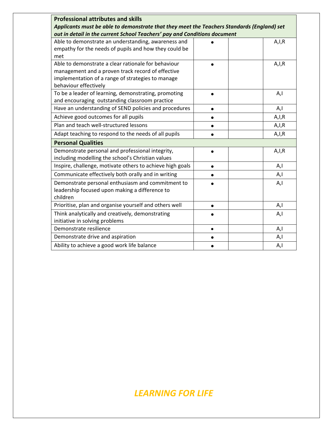| <b>Professional attributes and skills</b>                                                  |           |         |
|--------------------------------------------------------------------------------------------|-----------|---------|
| Applicants must be able to demonstrate that they meet the Teachers Standards (England) set |           |         |
| out in detail in the current School Teachers' pay and Conditions document                  |           |         |
| Able to demonstrate an understanding, awareness and                                        |           | A, I, R |
| empathy for the needs of pupils and how they could be                                      |           |         |
| met                                                                                        |           |         |
| Able to demonstrate a clear rationale for behaviour                                        |           | A, I, R |
| management and a proven track record of effective                                          |           |         |
| implementation of a range of strategies to manage                                          |           |         |
| behaviour effectively                                                                      |           |         |
| To be a leader of learning, demonstrating, promoting                                       |           | A,l     |
| and encouraging outstanding classroom practice                                             |           |         |
| Have an understanding of SEND policies and procedures                                      |           | A,I     |
| Achieve good outcomes for all pupils                                                       | $\bullet$ | A, I, R |
| Plan and teach well-structured lessons                                                     |           | A, I, R |
| Adapt teaching to respond to the needs of all pupils                                       |           | A, I, R |
| <b>Personal Qualities</b>                                                                  |           |         |
| Demonstrate personal and professional integrity,                                           |           | A, I, R |
| including modelling the school's Christian values                                          |           |         |
| Inspire, challenge, motivate others to achieve high goals                                  | $\bullet$ | A,I     |
| Communicate effectively both orally and in writing                                         |           | A,I     |
| Demonstrate personal enthusiasm and commitment to                                          |           | A,l     |
| leadership focused upon making a difference to                                             |           |         |
| children                                                                                   |           |         |
| Prioritise, plan and organise yourself and others well                                     | $\bullet$ | A,I     |
| Think analytically and creatively, demonstrating                                           |           | A,I     |
| initiative in solving problems                                                             |           |         |
| Demonstrate resilience                                                                     | $\bullet$ | A,I     |
| Demonstrate drive and aspiration                                                           | $\bullet$ | A,I     |
| Ability to achieve a good work life balance                                                |           | A,I     |